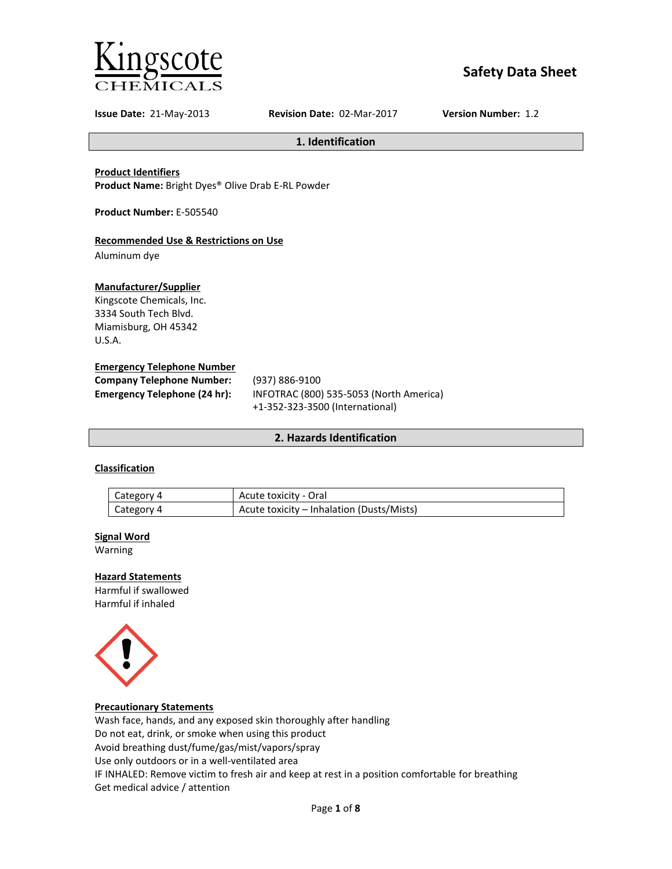

# **Safety Data Sheet**

**Issue Date:** 21-May-2013 **Revision Date:** 02-Mar-2017 **Version Number:** 1.2

**1. Identification**

# **Product Identifiers**

**Product Name:** Bright Dyes® Olive Drab E-RL Powder

**Product Number:** E-505540

# **Recommended Use & Restrictions on Use**

Aluminum dye

# **Manufacturer/Supplier**

Kingscote Chemicals, Inc. 3334 South Tech Blvd. Miamisburg, OH 45342 U.S.A.

# **Emergency Telephone Number**

| <b>Company Telephone Number:</b> | (937) 886-9100                          |
|----------------------------------|-----------------------------------------|
| Emergency Telephone (24 hr):     | INFOTRAC (800) 535-5053 (North America) |
|                                  | +1-352-323-3500 (International)         |

# **2. Hazards Identification**

# **Classification**

| Category 4 | Acute toxicity - Oral                     |
|------------|-------------------------------------------|
| Category 4 | Acute toxicity – Inhalation (Dusts/Mists) |

#### **Signal Word**

Warning

#### **Hazard Statements**

Harmful if swallowed Harmful if inhaled



### **Precautionary Statements**

Wash face, hands, and any exposed skin thoroughly after handling Do not eat, drink, or smoke when using this product Avoid breathing dust/fume/gas/mist/vapors/spray Use only outdoors or in a well-ventilated area IF INHALED: Remove victim to fresh air and keep at rest in a position comfortable for breathing Get medical advice / attention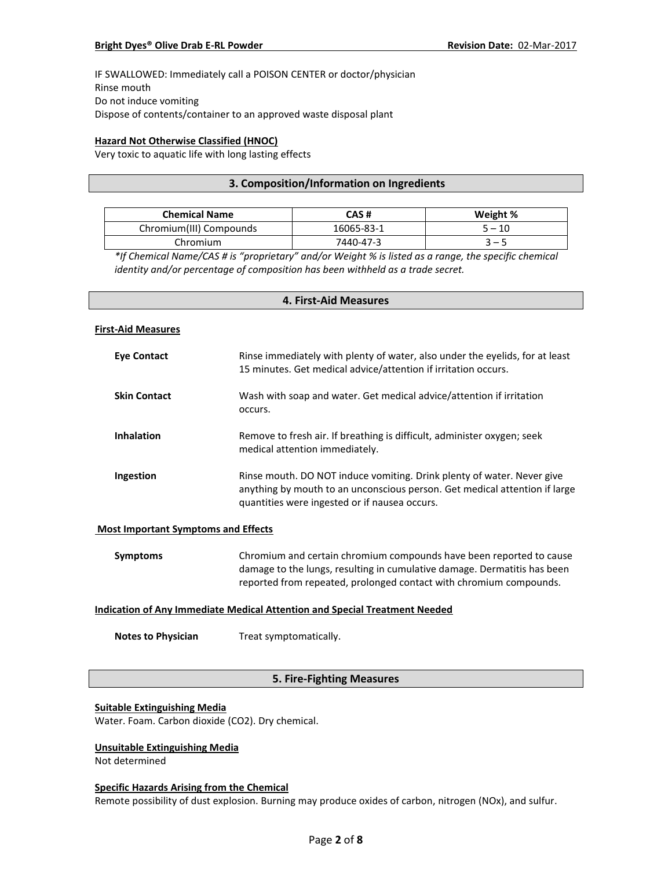IF SWALLOWED: Immediately call a POISON CENTER or doctor/physician Rinse mouth Do not induce vomiting Dispose of contents/container to an approved waste disposal plant

# **Hazard Not Otherwise Classified (HNOC)**

Very toxic to aquatic life with long lasting effects

# **3. Composition/Information on Ingredients**

| <b>Chemical Name</b>    | CAS #      | Weight % |
|-------------------------|------------|----------|
| Chromium(III) Compounds | 16065-83-1 | $5 - 10$ |
| Chromium                | 7440-47-3  | $3 - 5$  |

*\*If Chemical Name/CAS # is "proprietary" and/or Weight % is listed as a range, the specific chemical identity and/or percentage of composition has been withheld as a trade secret.*

# **4. First-Aid Measures First-Aid Measures Eye Contact** Rinse immediately with plenty of water, also under the eyelids, for at least 15 minutes. Get medical advice/attention if irritation occurs. **Skin Contact** Wash with soap and water. Get medical advice/attention if irritation occurs. **Inhalation** Remove to fresh air. If breathing is difficult, administer oxygen; seek medical attention immediately. **Ingestion Rinse mouth. DO NOT induce vomiting. Drink plenty of water. Never give** anything by mouth to an unconscious person. Get medical attention if large quantities were ingested or if nausea occurs.

#### **Most Important Symptoms and Effects**

| Symptoms | Chromium and certain chromium compounds have been reported to cause      |
|----------|--------------------------------------------------------------------------|
|          | damage to the lungs, resulting in cumulative damage. Dermatitis has been |
|          | reported from repeated, prolonged contact with chromium compounds.       |

#### **Indication of Any Immediate Medical Attention and Special Treatment Needed**

**Notes to Physician** Treat symptomatically.

# **5. Fire-Fighting Measures**

#### **Suitable Extinguishing Media**

Water. Foam. Carbon dioxide (CO2). Dry chemical.

#### **Unsuitable Extinguishing Media**

Not determined

#### **Specific Hazards Arising from the Chemical**

Remote possibility of dust explosion. Burning may produce oxides of carbon, nitrogen (NOx), and sulfur.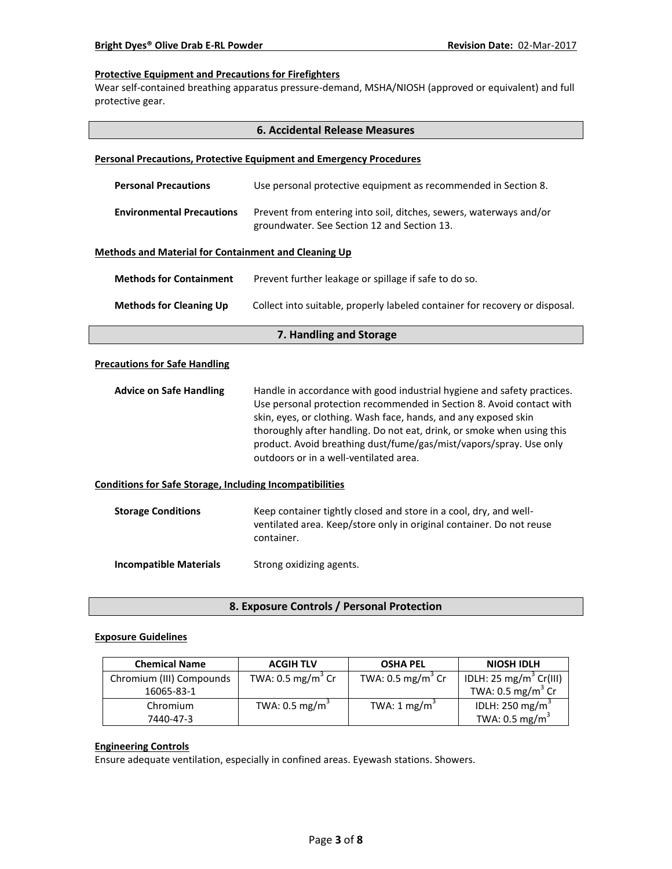# **Protective Equipment and Precautions for Firefighters**

Wear self-contained breathing apparatus pressure-demand, MSHA/NIOSH (approved or equivalent) and full protective gear.

|                                                                 | <b>6. Accidental Release Measures</b>                                                                                                                                                                                                                                                                                                                                                                        |  |
|-----------------------------------------------------------------|--------------------------------------------------------------------------------------------------------------------------------------------------------------------------------------------------------------------------------------------------------------------------------------------------------------------------------------------------------------------------------------------------------------|--|
|                                                                 | <b>Personal Precautions, Protective Equipment and Emergency Procedures</b>                                                                                                                                                                                                                                                                                                                                   |  |
| <b>Personal Precautions</b>                                     | Use personal protective equipment as recommended in Section 8.                                                                                                                                                                                                                                                                                                                                               |  |
| <b>Environmental Precautions</b>                                | Prevent from entering into soil, ditches, sewers, waterways and/or<br>groundwater. See Section 12 and Section 13.                                                                                                                                                                                                                                                                                            |  |
| <b>Methods and Material for Containment and Cleaning Up</b>     |                                                                                                                                                                                                                                                                                                                                                                                                              |  |
| <b>Methods for Containment</b>                                  | Prevent further leakage or spillage if safe to do so.                                                                                                                                                                                                                                                                                                                                                        |  |
| <b>Methods for Cleaning Up</b>                                  | Collect into suitable, properly labeled container for recovery or disposal.                                                                                                                                                                                                                                                                                                                                  |  |
| 7. Handling and Storage                                         |                                                                                                                                                                                                                                                                                                                                                                                                              |  |
| <b>Precautions for Safe Handling</b>                            |                                                                                                                                                                                                                                                                                                                                                                                                              |  |
| <b>Advice on Safe Handling</b>                                  | Handle in accordance with good industrial hygiene and safety practices.<br>Use personal protection recommended in Section 8. Avoid contact with<br>skin, eyes, or clothing. Wash face, hands, and any exposed skin<br>thoroughly after handling. Do not eat, drink, or smoke when using this<br>product. Avoid breathing dust/fume/gas/mist/vapors/spray. Use only<br>outdoors or in a well-ventilated area. |  |
| <b>Conditions for Safe Storage, Including Incompatibilities</b> |                                                                                                                                                                                                                                                                                                                                                                                                              |  |
| <b>Storage Conditions</b>                                       | Keep container tightly closed and store in a cool, dry, and well-<br>ventilated area. Keep/store only in original container. Do not reuse<br>container.                                                                                                                                                                                                                                                      |  |
| <b>Incompatible Materials</b>                                   | Strong oxidizing agents.                                                                                                                                                                                                                                                                                                                                                                                     |  |

**8. Exposure Controls / Personal Protection**

# **Exposure Guidelines**

| <b>Chemical Name</b>     | <b>ACGIH TLV</b>             | <b>OSHA PEL</b>              | <b>NIOSH IDLH</b>                  |
|--------------------------|------------------------------|------------------------------|------------------------------------|
| Chromium (III) Compounds | TWA: $0.5 \text{ mg/m}^3$ Cr | TWA: $0.5 \text{ mg/m}^3$ Cr | IDLH: 25 mg/m <sup>3</sup> Cr(III) |
| 16065-83-1               |                              |                              | TWA: $0.5 \text{ mg/m}^3$ Cr       |
| Chromium                 | TWA: $0.5 \text{ mg/m}^3$    | TWA: $1 \text{ mg/m}^3$      | IDLH: 250 mg/m <sup>3</sup>        |
| 7440-47-3                |                              |                              | TWA: $0.5 \text{ mg/m}^3$          |

# **Engineering Controls**

Ensure adequate ventilation, especially in confined areas. Eyewash stations. Showers.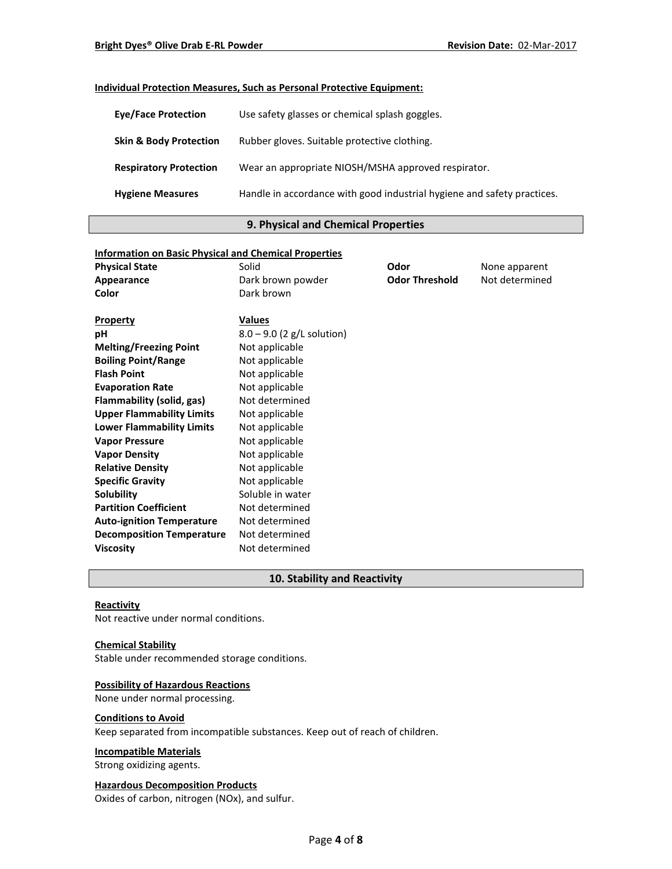# **Individual Protection Measures, Such as Personal Protective Equipment:**

| <b>Eve/Face Protection</b>        | Use safety glasses or chemical splash goggles.                          |
|-----------------------------------|-------------------------------------------------------------------------|
| <b>Skin &amp; Body Protection</b> | Rubber gloves. Suitable protective clothing.                            |
| <b>Respiratory Protection</b>     | Wear an appropriate NIOSH/MSHA approved respirator.                     |
| <b>Hygiene Measures</b>           | Handle in accordance with good industrial hygiene and safety practices. |

# **9. Physical and Chemical Properties**

| <b>Information on Basic Physical and Chemical Properties</b> |                              |                       |                |
|--------------------------------------------------------------|------------------------------|-----------------------|----------------|
| <b>Physical State</b>                                        | Solid                        | Odor                  | None apparent  |
| Appearance                                                   | Dark brown powder            | <b>Odor Threshold</b> | Not determined |
| Color                                                        | Dark brown                   |                       |                |
| <b>Property</b>                                              | <b>Values</b>                |                       |                |
| рH                                                           | $8.0 - 9.0$ (2 g/L solution) |                       |                |
| <b>Melting/Freezing Point</b>                                | Not applicable               |                       |                |
| <b>Boiling Point/Range</b>                                   | Not applicable               |                       |                |
| <b>Flash Point</b>                                           | Not applicable               |                       |                |
| <b>Evaporation Rate</b>                                      | Not applicable               |                       |                |
| Flammability (solid, gas)                                    | Not determined               |                       |                |
| <b>Upper Flammability Limits</b>                             | Not applicable               |                       |                |
| <b>Lower Flammability Limits</b>                             | Not applicable               |                       |                |
| <b>Vapor Pressure</b>                                        | Not applicable               |                       |                |
| <b>Vapor Density</b>                                         | Not applicable               |                       |                |
| <b>Relative Density</b>                                      | Not applicable               |                       |                |
| <b>Specific Gravity</b>                                      | Not applicable               |                       |                |
| Solubility                                                   | Soluble in water             |                       |                |
| <b>Partition Coefficient</b>                                 | Not determined               |                       |                |
| <b>Auto-ignition Temperature</b>                             | Not determined               |                       |                |
| <b>Decomposition Temperature</b>                             | Not determined               |                       |                |
| <b>Viscosity</b>                                             | Not determined               |                       |                |

# **10. Stability and Reactivity**

# **Reactivity**

Not reactive under normal conditions.

# **Chemical Stability**

Stable under recommended storage conditions.

#### **Possibility of Hazardous Reactions**

None under normal processing.

### **Conditions to Avoid**

Keep separated from incompatible substances. Keep out of reach of children.

# **Incompatible Materials**

Strong oxidizing agents.

# **Hazardous Decomposition Products**

Oxides of carbon, nitrogen (NOx), and sulfur.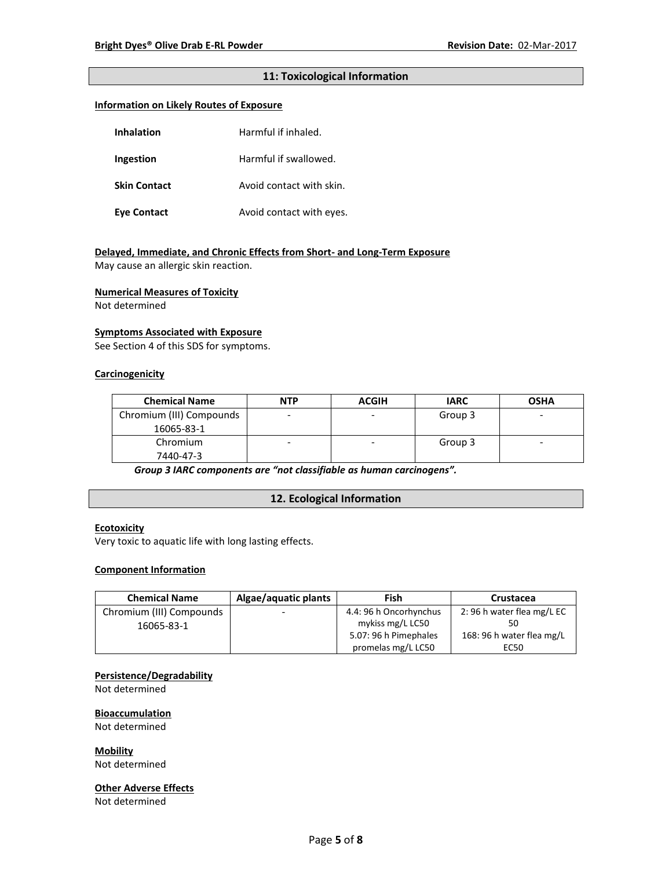# **11: Toxicological Information**

# **Information on Likely Routes of Exposure**

| <b>Inhalation</b>   | Harmful if inhaled.      |
|---------------------|--------------------------|
| Ingestion           | Harmful if swallowed.    |
| <b>Skin Contact</b> | Avoid contact with skin. |
| Eye Contact         | Avoid contact with eyes. |

# **Delayed, Immediate, and Chronic Effects from Short- and Long-Term Exposure**

May cause an allergic skin reaction.

#### **Numerical Measures of Toxicity**

Not determined

#### **Symptoms Associated with Exposure**

See Section 4 of this SDS for symptoms.

# **Carcinogenicity**

| <b>Chemical Name</b>     | <b>NTP</b> | <b>ACGIH</b> | <b>IARC</b> | <b>OSHA</b>              |
|--------------------------|------------|--------------|-------------|--------------------------|
| Chromium (III) Compounds |            |              | Group 3     | -                        |
| 16065-83-1               |            |              |             |                          |
| Chromium                 |            | ۰            | Group 3     | $\overline{\phantom{0}}$ |
| 7440-47-3                |            |              |             |                          |

*Group 3 IARC components are "not classifiable as human carcinogens".*

# **12. Ecological Information**

#### **Ecotoxicity**

Very toxic to aquatic life with long lasting effects.

### **Component Information**

| <b>Chemical Name</b>     | Algae/aquatic plants     | Fish                   | Crustacea                 |
|--------------------------|--------------------------|------------------------|---------------------------|
| Chromium (III) Compounds | $\overline{\phantom{0}}$ | 4.4: 96 h Oncorhynchus | 2:96 h water flea mg/L EC |
| 16065-83-1               |                          | mykiss mg/L LC50       |                           |
|                          |                          | 5.07: 96 h Pimephales  | 168: 96 h water flea mg/L |
|                          |                          | promelas mg/L LC50     | EC50                      |

# **Persistence/Degradability**

Not determined

#### **Bioaccumulation**

Not determined

**Mobility**

Not determined

#### **Other Adverse Effects**

Not determined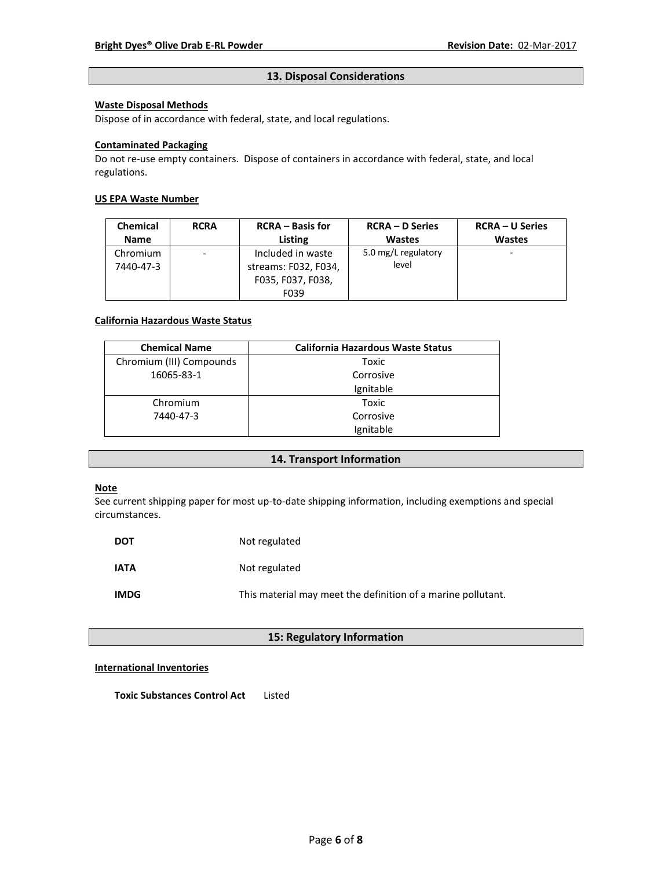# **13. Disposal Considerations**

# **Waste Disposal Methods**

Dispose of in accordance with federal, state, and local regulations.

### **Contaminated Packaging**

Do not re-use empty containers.Dispose of containers in accordance with federal, state, and local regulations.

# **US EPA Waste Number**

| <b>Chemical</b> | <b>RCRA</b>                  | <b>RCRA</b> – Basis for | <b>RCRA – D Series</b> | <b>RCRA – U Series</b> |
|-----------------|------------------------------|-------------------------|------------------------|------------------------|
| <b>Name</b>     |                              | Listing                 | <b>Wastes</b>          | <b>Wastes</b>          |
| Chromium        | $\qquad \qquad \blacksquare$ | Included in waste       | 5.0 mg/L regulatory    | ۰                      |
| 7440-47-3       |                              | streams: F032, F034,    | level                  |                        |
|                 |                              | F035, F037, F038,       |                        |                        |
|                 |                              | F039                    |                        |                        |

### **California Hazardous Waste Status**

| <b>Chemical Name</b>     | <b>California Hazardous Waste Status</b> |
|--------------------------|------------------------------------------|
| Chromium (III) Compounds | Toxic                                    |
| 16065-83-1               | Corrosive                                |
|                          | Ignitable                                |
| Chromium                 | Toxic                                    |
| 7440-47-3                | Corrosive                                |
|                          | Ignitable                                |

# **14. Transport Information**

# **Note**

See current shipping paper for most up-to-date shipping information, including exemptions and special circumstances.

| <b>DOT</b>  | Not regulated                                                |
|-------------|--------------------------------------------------------------|
| <b>IATA</b> | Not regulated                                                |
| <b>IMDG</b> | This material may meet the definition of a marine pollutant. |

# **15: Regulatory Information**

# **International Inventories**

**Toxic Substances Control Act** Listed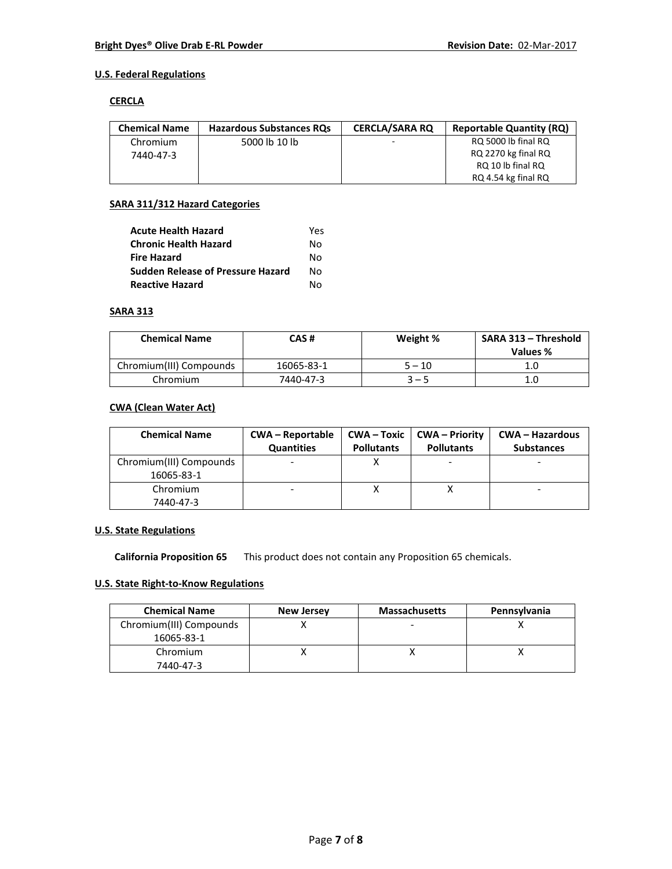# **U.S. Federal Regulations**

### **CERCLA**

| <b>Chemical Name</b> | <b>Hazardous Substances RQs</b> | <b>CERCLA/SARA RO</b> | <b>Reportable Quantity (RQ)</b> |
|----------------------|---------------------------------|-----------------------|---------------------------------|
| Chromium             | 5000 lb 10 lb                   |                       | RQ 5000 lb final RQ             |
| 7440-47-3            |                                 |                       | RQ 2270 kg final RQ             |
|                      |                                 |                       | RQ 10 lb final RQ               |
|                      |                                 |                       | RQ 4.54 kg final RQ             |

# **SARA 311/312 Hazard Categories**

| <b>Acute Health Hazard</b>               | Yes |
|------------------------------------------|-----|
| <b>Chronic Health Hazard</b>             | N٥  |
| <b>Fire Hazard</b>                       | N٥  |
| <b>Sudden Release of Pressure Hazard</b> | N٥  |
| <b>Reactive Hazard</b>                   | N٥  |

# **SARA 313**

| <b>Chemical Name</b>    | CAS #      | Weight % | SARA 313 - Threshold<br>Values % |
|-------------------------|------------|----------|----------------------------------|
| Chromium(III) Compounds | 16065-83-1 | 5 – 10   | 1.C                              |
| Chromium                | 7440-47-3  | $3 - 5$  | 1.C                              |

# **CWA (Clean Water Act)**

| <b>Chemical Name</b>    | <b>CWA - Reportable</b><br><b>Quantities</b> | <b>Pollutants</b> | <b>CWA-Toxic   CWA-Priority</b><br><b>Pollutants</b> | <b>CWA – Hazardous</b><br><b>Substances</b> |
|-------------------------|----------------------------------------------|-------------------|------------------------------------------------------|---------------------------------------------|
| Chromium(III) Compounds |                                              |                   |                                                      |                                             |
| 16065-83-1              |                                              |                   |                                                      |                                             |
| Chromium                |                                              |                   |                                                      |                                             |
| 7440-47-3               |                                              |                   |                                                      |                                             |

# **U.S. State Regulations**

**California Proposition 65** This product does not contain any Proposition 65 chemicals.

# **U.S. State Right-to-Know Regulations**

| <b>Chemical Name</b>    | <b>New Jersey</b> | <b>Massachusetts</b> | Pennsylvania |
|-------------------------|-------------------|----------------------|--------------|
| Chromium(III) Compounds |                   |                      |              |
| 16065-83-1              |                   |                      |              |
| Chromium                |                   |                      |              |
| 7440-47-3               |                   |                      |              |